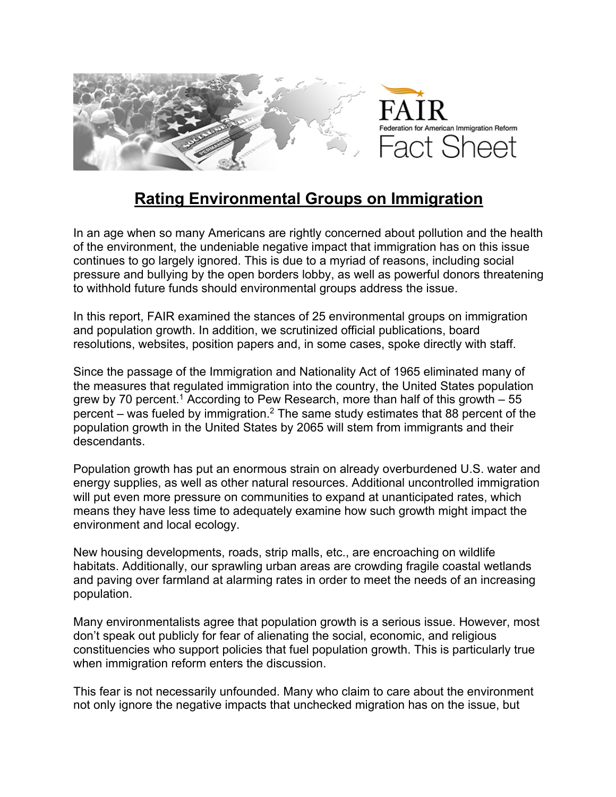

## **Rating Environmental Groups on Immigration**

In an age when so many Americans are rightly concerned about pollution and the health of the environment, the undeniable negative impact that immigration has on this issue continues to go largely ignored. This is due to a myriad of reasons, including social pressure and bullying by the open borders lobby, as well as powerful donors threatening to withhold future funds should environmental groups address the issue.

In this report, FAIR examined the stances of 25 environmental groups on immigration and population growth. In addition, we scrutinized official publications, board resolutions, websites, position papers and, in some cases, spoke directly with staff.

Since the passage of the Immigration and Nationality Act of 1965 eliminated many of the measures that regulated immigration into the country, the United States population grew by 70 percent.<sup>1</sup> According to Pew Research, more than half of this growth  $-55$ percent – was fueled by immigration.<sup>2</sup> The same study estimates that 88 percent of the population growth in the United States by 2065 will stem from immigrants and their descendants.

Population growth has put an enormous strain on already overburdened U.S. water and energy supplies, as well as other natural resources. Additional uncontrolled immigration will put even more pressure on communities to expand at unanticipated rates, which means they have less time to adequately examine how such growth might impact the environment and local ecology.

New housing developments, roads, strip malls, etc., are encroaching on wildlife habitats. Additionally, our sprawling urban areas are crowding fragile coastal wetlands and paving over farmland at alarming rates in order to meet the needs of an increasing population.

Many environmentalists agree that population growth is a serious issue. However, most don't speak out publicly for fear of alienating the social, economic, and religious constituencies who support policies that fuel population growth. This is particularly true when immigration reform enters the discussion.

This fear is not necessarily unfounded. Many who claim to care about the environment not only ignore the negative impacts that unchecked migration has on the issue, but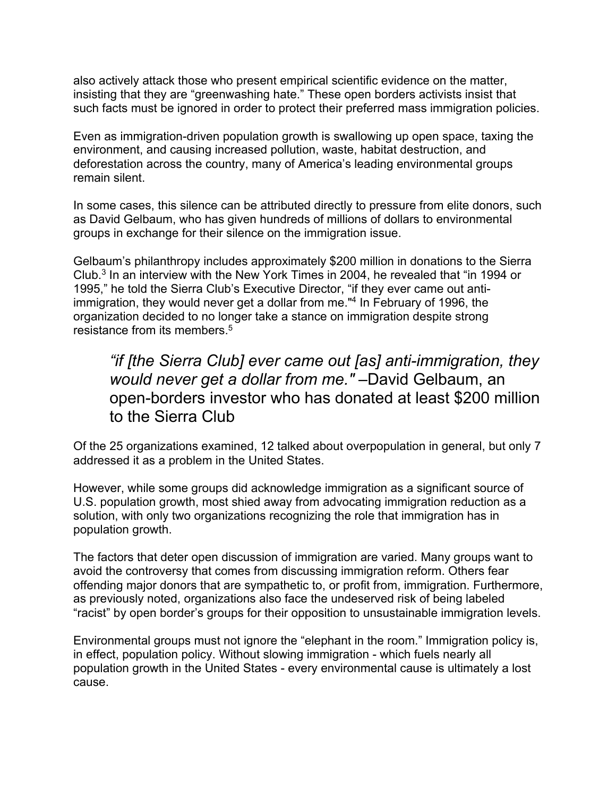also actively attack those who present empirical scientific evidence on the matter, insisting that they are "greenwashing hate." These open borders activists insist that such facts must be ignored in order to protect their preferred mass immigration policies.

Even as immigration-driven population growth is swallowing up open space, taxing the environment, and causing increased pollution, waste, habitat destruction, and deforestation across the country, many of America's leading environmental groups remain silent.

In some cases, this silence can be attributed directly to pressure from elite donors, such as David Gelbaum, who has given hundreds of millions of dollars to environmental groups in exchange for their silence on the immigration issue.

Gelbaum's philanthropy includes approximately \$200 million in donations to the Sierra Club.3 In an interview with the New York Times in 2004, he revealed that "in 1994 or 1995," he told the Sierra Club's Executive Director, "if they ever came out antiimmigration, they would never get a dollar from me."4 In February of 1996, the organization decided to no longer take a stance on immigration despite strong resistance from its members.<sup>5</sup>

## *"if [the Sierra Club] ever came out [as] anti-immigration, they would never get a dollar from me."* –David Gelbaum, an open-borders investor who has donated at least \$200 million to the Sierra Club

Of the 25 organizations examined, 12 talked about overpopulation in general, but only 7 addressed it as a problem in the United States.

However, while some groups did acknowledge immigration as a significant source of U.S. population growth, most shied away from advocating immigration reduction as a solution, with only two organizations recognizing the role that immigration has in population growth.

The factors that deter open discussion of immigration are varied. Many groups want to avoid the controversy that comes from discussing immigration reform. Others fear offending major donors that are sympathetic to, or profit from, immigration. Furthermore, as previously noted, organizations also face the undeserved risk of being labeled "racist" by open border's groups for their opposition to unsustainable immigration levels.

Environmental groups must not ignore the "elephant in the room." Immigration policy is, in effect, population policy. Without slowing immigration - which fuels nearly all population growth in the United States - every environmental cause is ultimately a lost cause.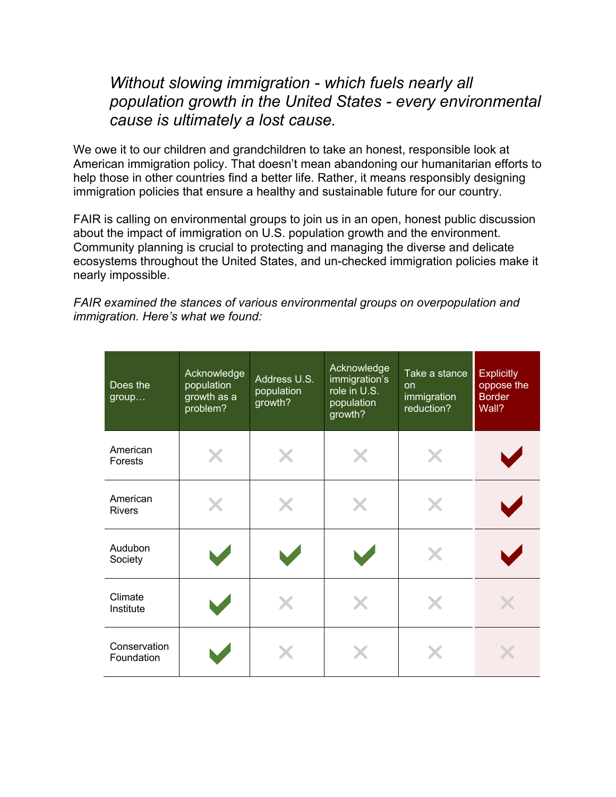## *Without slowing immigration - which fuels nearly all population growth in the United States - every environmental cause is ultimately a lost cause.*

We owe it to our children and grandchildren to take an honest, responsible look at American immigration policy. That doesn't mean abandoning our humanitarian efforts to help those in other countries find a better life. Rather, it means responsibly designing immigration policies that ensure a healthy and sustainable future for our country.

FAIR is calling on environmental groups to join us in an open, honest public discussion about the impact of immigration on U.S. population growth and the environment. Community planning is crucial to protecting and managing the diverse and delicate ecosystems throughout the United States, and un-checked immigration policies make it nearly impossible.

*FAIR examined the stances of various environmental groups on overpopulation and immigration. Here's what we found:*

| Does the<br>group          | Acknowledge<br>population<br>growth as a<br>problem? | Address U.S.<br>population<br>growth? | Acknowledge<br>immigration's<br>role in U.S.<br>population<br>growth? | Take a stance<br><b>on</b><br>immigration<br>reduction? | <b>Explicitly</b><br>oppose the<br><b>Border</b><br>Wall? |
|----------------------------|------------------------------------------------------|---------------------------------------|-----------------------------------------------------------------------|---------------------------------------------------------|-----------------------------------------------------------|
| American<br>Forests        | X                                                    |                                       |                                                                       | X                                                       |                                                           |
| American<br><b>Rivers</b>  |                                                      |                                       |                                                                       | X                                                       |                                                           |
| Audubon<br>Society         |                                                      |                                       |                                                                       | X                                                       |                                                           |
| Climate<br>Institute       |                                                      |                                       |                                                                       | X                                                       |                                                           |
| Conservation<br>Foundation |                                                      |                                       |                                                                       |                                                         |                                                           |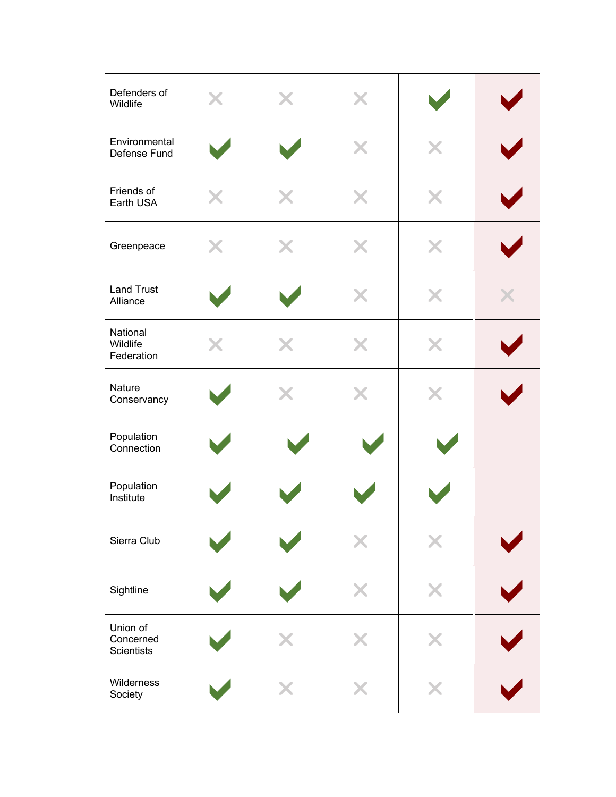| Defenders of<br>Wildlife                   | X | X | X |   |   |
|--------------------------------------------|---|---|---|---|---|
| Environmental<br>Defense Fund              |   |   | X | X |   |
| Friends of<br>Earth USA                    | X | X | X | X |   |
| Greenpeace                                 | X | X | X | X |   |
| <b>Land Trust</b><br>Alliance              |   |   | X | X | X |
| National<br>Wildlife<br>Federation         | Х |   | X | X |   |
| Nature<br>Conservancy                      |   | X | X | X |   |
| Population<br>Connection                   |   |   |   |   |   |
| Population<br>Institute                    |   |   |   |   |   |
| Sierra Club                                |   |   |   |   |   |
| Sightline                                  |   |   |   |   |   |
| Union of<br>Concerned<br><b>Scientists</b> |   |   |   |   |   |
| Wilderness<br>Society                      |   |   |   |   |   |